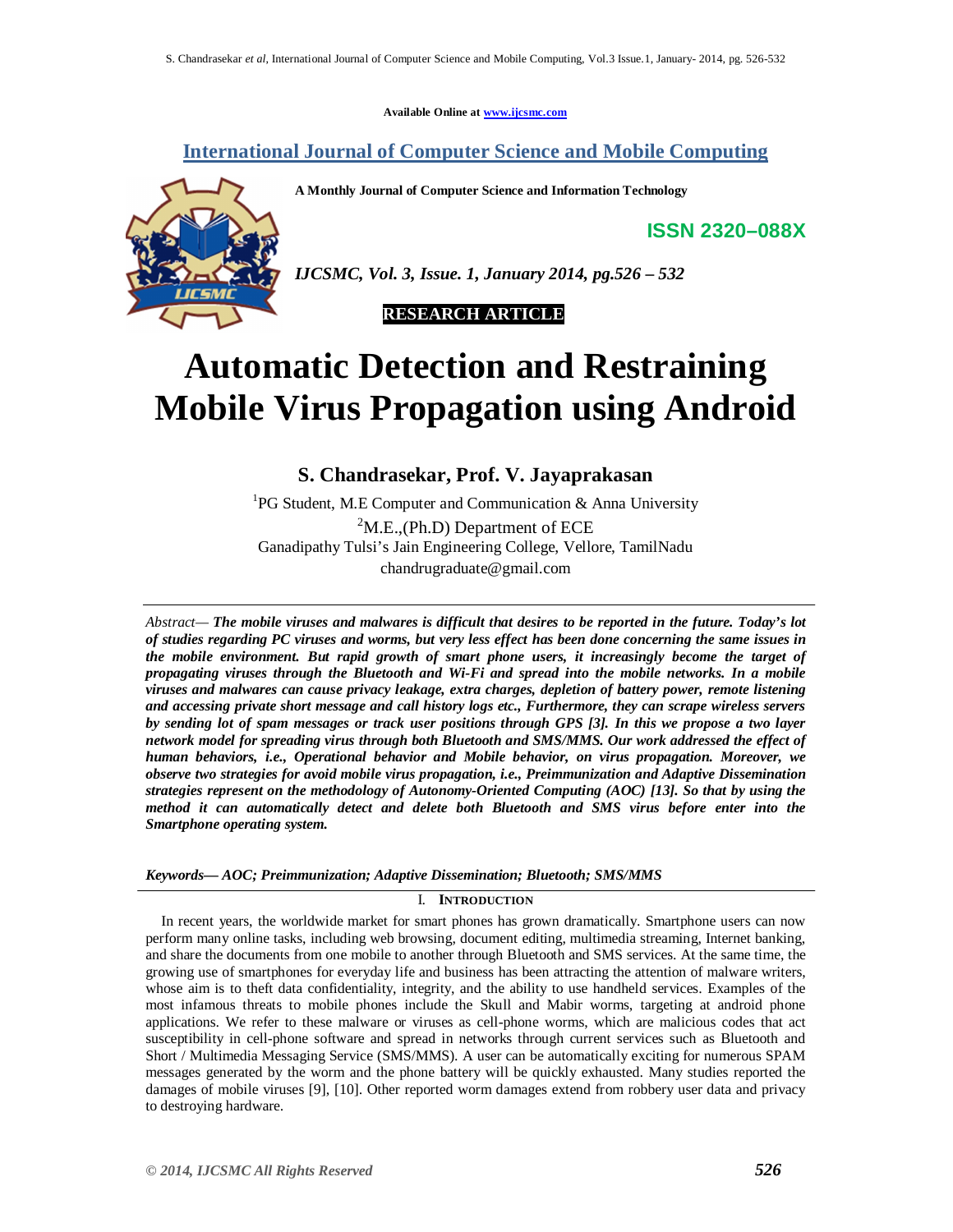**Available Online at www.ijcsmc.com**

**International Journal of Computer Science and Mobile Computing**

**A Monthly Journal of Computer Science and Information Technology**

**ISSN 2320–088X**



*IJCSMC, Vol. 3, Issue. 1, January 2014, pg.526 – 532*

 **RESEARCH ARTICLE**

# **Automatic Detection and Restraining Mobile Virus Propagation using Android**  $\overline{\phantom{a}}$

**S. Chandrasekar, Prof. V. Jayaprakasan** 

<sup>1</sup>PG Student, M.E Computer and Communication & Anna University

 $2^2$ M.E.,(Ph.D) Department of ECE Ganadipathy Tulsi's Jain Engineering College, Vellore, TamilNadu chandrugraduate@gmail.com

*Abstract— The mobile viruses and malwares is difficult that desires to be reported in the future. Today's lot of studies regarding PC viruses and worms, but very less effect has been done concerning the same issues in the mobile environment. But rapid growth of smart phone users, it increasingly become the target of propagating viruses through the Bluetooth and Wi-Fi and spread into the mobile networks. In a mobile viruses and malwares can cause privacy leakage, extra charges, depletion of battery power, remote listening and accessing private short message and call history logs etc., Furthermore, they can scrape wireless servers by sending lot of spam messages or track user positions through GPS [3]. In this we propose a two layer network model for spreading virus through both Bluetooth and SMS/MMS. Our work addressed the effect of human behaviors, i.e., Operational behavior and Mobile behavior, on virus propagation. Moreover, we observe two strategies for avoid mobile virus propagation, i.e., Preimmunization and Adaptive Dissemination strategies represent on the methodology of Autonomy-Oriented Computing (AOC) [13]. So that by using the method it can automatically detect and delete both Bluetooth and SMS virus before enter into the Smartphone operating system.*

*Keywords— AOC; Preimmunization; Adaptive Dissemination; Bluetooth; SMS/MMS*

# I. **INTRODUCTION**

In recent years, the worldwide market for smart phones has grown dramatically. Smartphone users can now perform many online tasks, including web browsing, document editing, multimedia streaming, Internet banking, and share the documents from one mobile to another through Bluetooth and SMS services. At the same time, the growing use of smartphones for everyday life and business has been attracting the attention of malware writers, whose aim is to theft data confidentiality, integrity, and the ability to use handheld services. Examples of the most infamous threats to mobile phones include the Skull and Mabir worms, targeting at android phone applications. We refer to these malware or viruses as cell-phone worms, which are malicious codes that act susceptibility in cell-phone software and spread in networks through current services such as Bluetooth and Short / Multimedia Messaging Service (SMS/MMS). A user can be automatically exciting for numerous SPAM messages generated by the worm and the phone battery will be quickly exhausted. Many studies reported the damages of mobile viruses [9], [10]. Other reported worm damages extend from robbery user data and privacy to destroying hardware.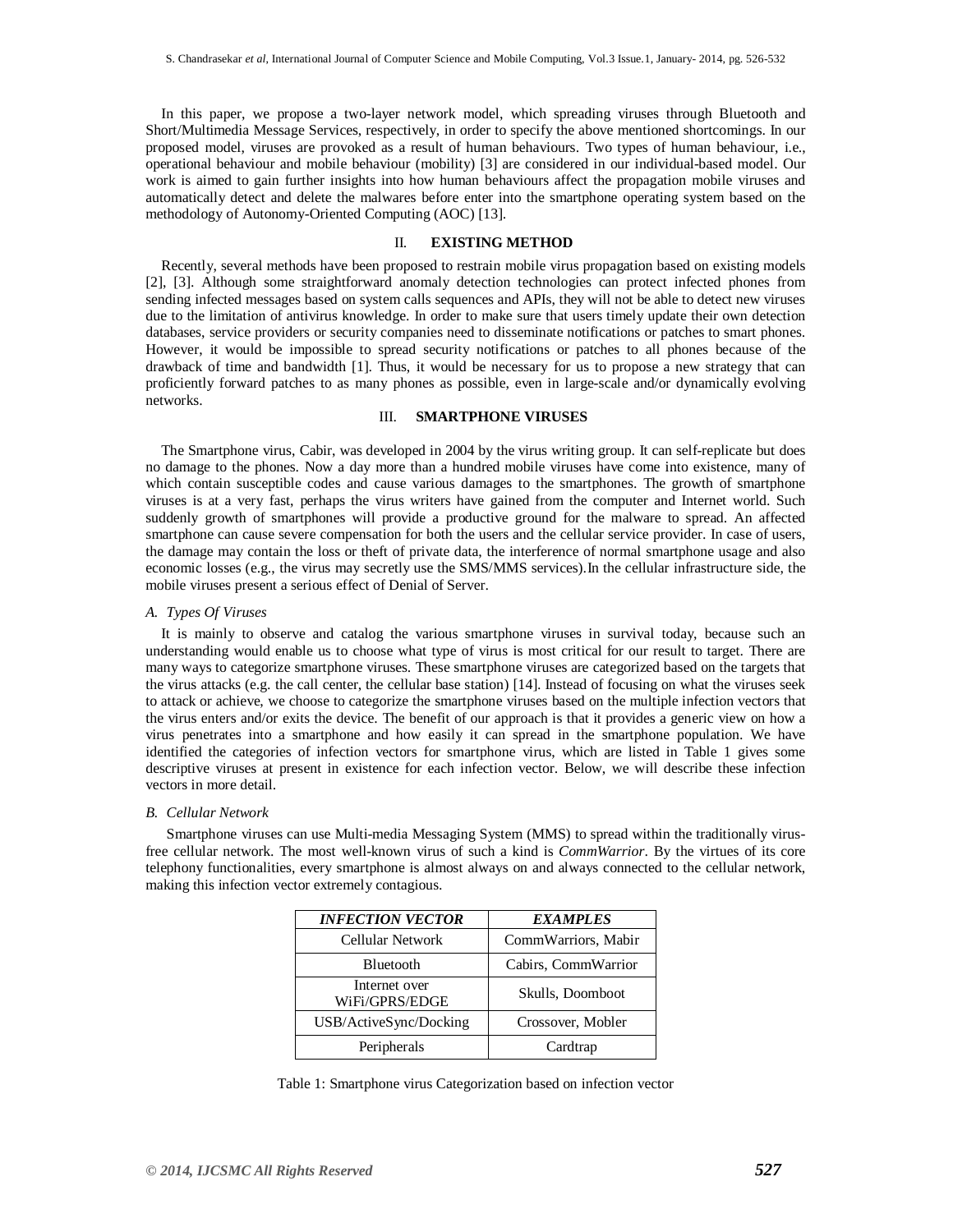In this paper, we propose a two-layer network model, which spreading viruses through Bluetooth and Short/Multimedia Message Services, respectively, in order to specify the above mentioned shortcomings. In our proposed model, viruses are provoked as a result of human behaviours. Two types of human behaviour, i.e., operational behaviour and mobile behaviour (mobility) [3] are considered in our individual-based model. Our work is aimed to gain further insights into how human behaviours affect the propagation mobile viruses and automatically detect and delete the malwares before enter into the smartphone operating system based on the methodology of Autonomy-Oriented Computing (AOC) [13].

#### II. **EXISTING METHOD**

Recently, several methods have been proposed to restrain mobile virus propagation based on existing models [2], [3]. Although some straightforward anomaly detection technologies can protect infected phones from sending infected messages based on system calls sequences and APIs, they will not be able to detect new viruses due to the limitation of antivirus knowledge. In order to make sure that users timely update their own detection databases, service providers or security companies need to disseminate notifications or patches to smart phones. However, it would be impossible to spread security notifications or patches to all phones because of the drawback of time and bandwidth [1]. Thus, it would be necessary for us to propose a new strategy that can proficiently forward patches to as many phones as possible, even in large-scale and/or dynamically evolving networks.

# III. **SMARTPHONE VIRUSES**

The Smartphone virus, Cabir, was developed in 2004 by the virus writing group. It can self-replicate but does no damage to the phones. Now a day more than a hundred mobile viruses have come into existence, many of which contain susceptible codes and cause various damages to the smartphones. The growth of smartphone viruses is at a very fast, perhaps the virus writers have gained from the computer and Internet world. Such suddenly growth of smartphones will provide a productive ground for the malware to spread. An affected smartphone can cause severe compensation for both the users and the cellular service provider. In case of users, the damage may contain the loss or theft of private data, the interference of normal smartphone usage and also economic losses (e.g., the virus may secretly use the SMS/MMS services).In the cellular infrastructure side, the mobile viruses present a serious effect of Denial of Server.

## *A. Types Of Viruses*

It is mainly to observe and catalog the various smartphone viruses in survival today, because such an understanding would enable us to choose what type of virus is most critical for our result to target. There are many ways to categorize smartphone viruses. These smartphone viruses are categorized based on the targets that the virus attacks (e.g. the call center, the cellular base station) [14]. Instead of focusing on what the viruses seek to attack or achieve, we choose to categorize the smartphone viruses based on the multiple infection vectors that the virus enters and/or exits the device. The benefit of our approach is that it provides a generic view on how a virus penetrates into a smartphone and how easily it can spread in the smartphone population. We have identified the categories of infection vectors for smartphone virus, which are listed in Table 1 gives some descriptive viruses at present in existence for each infection vector. Below, we will describe these infection vectors in more detail.

#### *B. Cellular Network*

Smartphone viruses can use Multi-media Messaging System (MMS) to spread within the traditionally virusfree cellular network. The most well-known virus of such a kind is *CommWarrior*. By the virtues of its core telephony functionalities, every smartphone is almost always on and always connected to the cellular network, making this infection vector extremely contagious.

| <b>INFECTION VECTOR</b>         | <b>EXAMPLES</b>     |
|---------------------------------|---------------------|
| Cellular Network                | CommWarriors, Mabir |
| Bluetooth                       | Cabirs, CommWarrior |
| Internet over<br>WiFi/GPRS/EDGE | Skulls, Doomboot    |
| USB/ActiveSync/Docking          | Crossover, Mobler   |
| Peripherals                     | Cardtrap            |

Table 1: Smartphone virus Categorization based on infection vector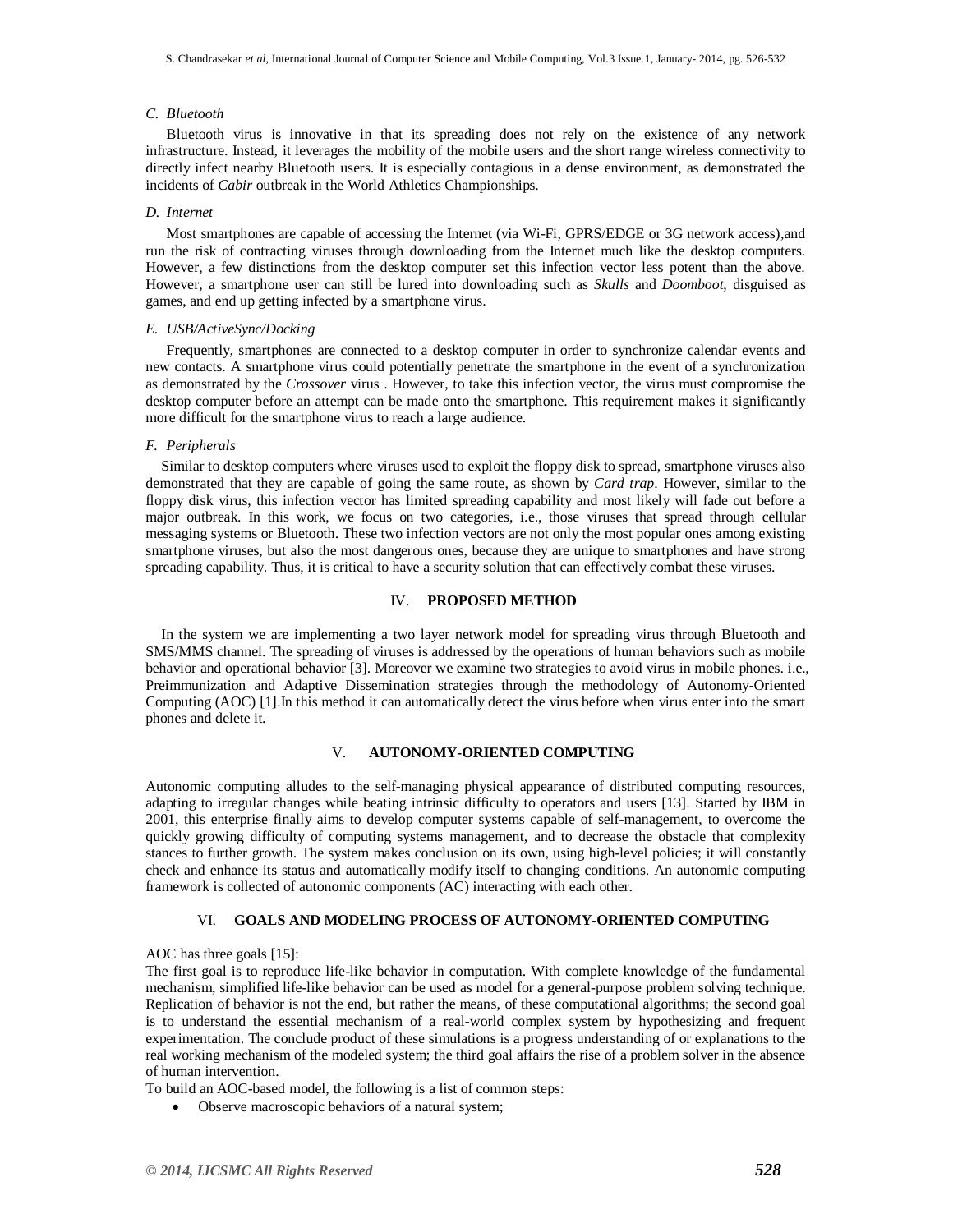# *C. Bluetooth*

Bluetooth virus is innovative in that its spreading does not rely on the existence of any network infrastructure. Instead, it leverages the mobility of the mobile users and the short range wireless connectivity to directly infect nearby Bluetooth users. It is especially contagious in a dense environment, as demonstrated the incidents of *Cabir* outbreak in the World Athletics Championships.

## *D. Internet*

Most smartphones are capable of accessing the Internet (via Wi-Fi, GPRS/EDGE or 3G network access),and run the risk of contracting viruses through downloading from the Internet much like the desktop computers. However, a few distinctions from the desktop computer set this infection vector less potent than the above. However, a smartphone user can still be lured into downloading such as *Skulls* and *Doomboot*, disguised as games, and end up getting infected by a smartphone virus.

#### *E. USB/ActiveSync/Docking*

Frequently, smartphones are connected to a desktop computer in order to synchronize calendar events and new contacts. A smartphone virus could potentially penetrate the smartphone in the event of a synchronization as demonstrated by the *Crossover* virus . However, to take this infection vector, the virus must compromise the desktop computer before an attempt can be made onto the smartphone. This requirement makes it significantly more difficult for the smartphone virus to reach a large audience.

#### *F. Peripherals*

Similar to desktop computers where viruses used to exploit the floppy disk to spread, smartphone viruses also demonstrated that they are capable of going the same route, as shown by *Card trap*. However, similar to the floppy disk virus, this infection vector has limited spreading capability and most likely will fade out before a major outbreak. In this work, we focus on two categories, i.e., those viruses that spread through cellular messaging systems or Bluetooth. These two infection vectors are not only the most popular ones among existing smartphone viruses, but also the most dangerous ones, because they are unique to smartphones and have strong spreading capability. Thus, it is critical to have a security solution that can effectively combat these viruses.

# IV. **PROPOSED METHOD**

In the system we are implementing a two layer network model for spreading virus through Bluetooth and SMS/MMS channel. The spreading of viruses is addressed by the operations of human behaviors such as mobile behavior and operational behavior [3]. Moreover we examine two strategies to avoid virus in mobile phones. i.e., Preimmunization and Adaptive Dissemination strategies through the methodology of Autonomy-Oriented Computing (AOC) [1].In this method it can automatically detect the virus before when virus enter into the smart phones and delete it.

## V. **AUTONOMY-ORIENTED COMPUTING**

Autonomic computing alludes to the self-managing physical appearance of distributed computing resources, adapting to irregular changes while beating intrinsic difficulty to operators and users [13]. Started by IBM in 2001, this enterprise finally aims to develop computer systems capable of self-management, to overcome the quickly growing difficulty of computing systems management, and to decrease the obstacle that complexity stances to further growth. The system makes conclusion on its own, using high-level policies; it will constantly check and enhance its status and automatically modify itself to changing conditions. An autonomic computing framework is collected of autonomic components (AC) interacting with each other.

## VI. **GOALS AND MODELING PROCESS OF AUTONOMY-ORIENTED COMPUTING**

#### AOC has three goals [15]:

The first goal is to reproduce life-like behavior in computation. With complete knowledge of the fundamental mechanism, simplified life-like behavior can be used as model for a general-purpose problem solving technique. Replication of behavior is not the end, but rather the means, of these computational algorithms; the second goal is to understand the essential mechanism of a real-world complex system by hypothesizing and frequent experimentation. The conclude product of these simulations is a progress understanding of or explanations to the real working mechanism of the modeled system; the third goal affairs the rise of a problem solver in the absence of human intervention.

To build an AOC-based model, the following is a list of common steps:

Observe macroscopic behaviors of a natural system;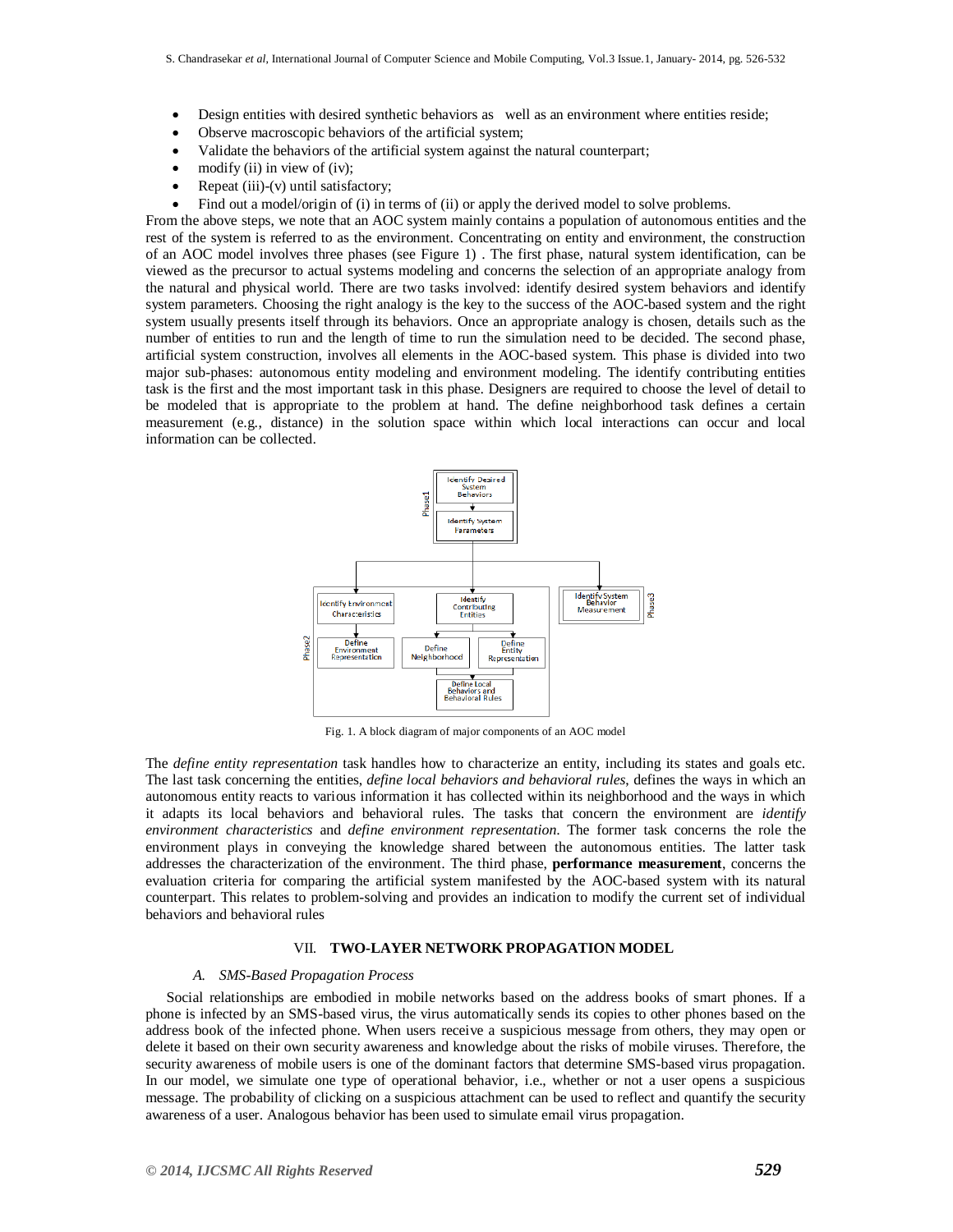- Design entities with desired synthetic behaviors as well as an environment where entities reside;
- Observe macroscopic behaviors of the artificial system;
- Validate the behaviors of the artificial system against the natural counterpart;
- modify (ii) in view of (iv);
- Repeat (iii)-(v) until satisfactory;
- Find out a model/origin of (i) in terms of (ii) or apply the derived model to solve problems.

From the above steps, we note that an AOC system mainly contains a population of autonomous entities and the rest of the system is referred to as the environment. Concentrating on entity and environment, the construction of an AOC model involves three phases (see Figure 1) . The first phase, natural system identification, can be viewed as the precursor to actual systems modeling and concerns the selection of an appropriate analogy from the natural and physical world. There are two tasks involved: identify desired system behaviors and identify system parameters. Choosing the right analogy is the key to the success of the AOC-based system and the right system usually presents itself through its behaviors. Once an appropriate analogy is chosen, details such as the number of entities to run and the length of time to run the simulation need to be decided. The second phase, artificial system construction, involves all elements in the AOC-based system. This phase is divided into two major sub-phases: autonomous entity modeling and environment modeling. The identify contributing entities task is the first and the most important task in this phase. Designers are required to choose the level of detail to be modeled that is appropriate to the problem at hand. The define neighborhood task defines a certain measurement (e.g., distance) in the solution space within which local interactions can occur and local information can be collected.



Fig. 1. A block diagram of major components of an AOC model

The *define entity representation* task handles how to characterize an entity, including its states and goals etc. The last task concerning the entities, *define local behaviors and behavioral rules*, defines the ways in which an autonomous entity reacts to various information it has collected within its neighborhood and the ways in which it adapts its local behaviors and behavioral rules. The tasks that concern the environment are *identify environment characteristics* and *define environment representation*. The former task concerns the role the environment plays in conveying the knowledge shared between the autonomous entities. The latter task addresses the characterization of the environment. The third phase, **performance measurement**, concerns the evaluation criteria for comparing the artificial system manifested by the AOC-based system with its natural counterpart. This relates to problem-solving and provides an indication to modify the current set of individual behaviors and behavioral rules

#### VII. **TWO-LAYER NETWORK PROPAGATION MODEL**

## *A. SMS-Based Propagation Process*

Social relationships are embodied in mobile networks based on the address books of smart phones. If a phone is infected by an SMS-based virus, the virus automatically sends its copies to other phones based on the address book of the infected phone. When users receive a suspicious message from others, they may open or delete it based on their own security awareness and knowledge about the risks of mobile viruses. Therefore, the security awareness of mobile users is one of the dominant factors that determine SMS-based virus propagation. In our model, we simulate one type of operational behavior, i.e., whether or not a user opens a suspicious message. The probability of clicking on a suspicious attachment can be used to reflect and quantify the security awareness of a user. Analogous behavior has been used to simulate email virus propagation.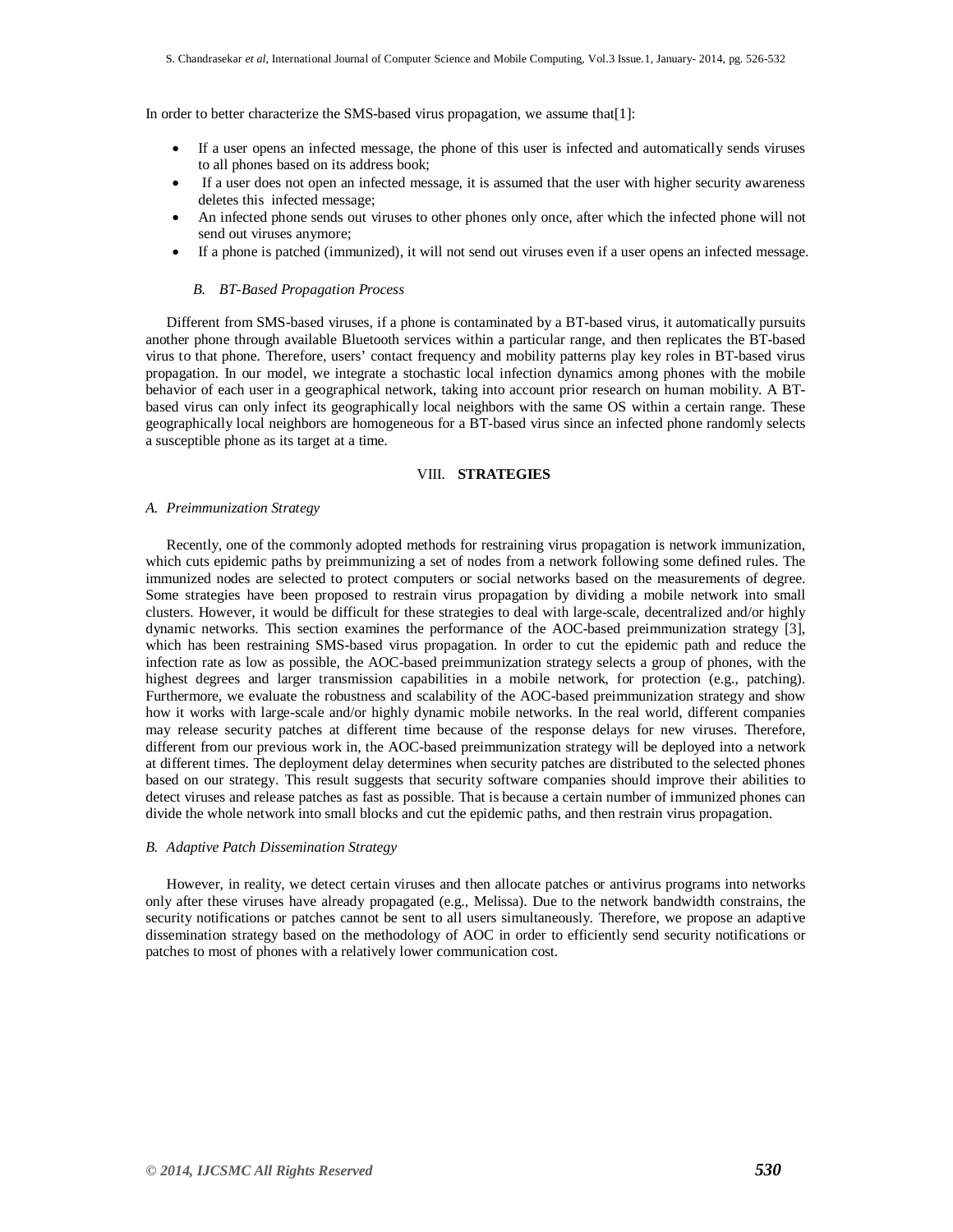In order to better characterize the SMS-based virus propagation, we assume that[1]:

- If a user opens an infected message, the phone of this user is infected and automatically sends viruses to all phones based on its address book;
- If a user does not open an infected message, it is assumed that the user with higher security awareness deletes this infected message;
- An infected phone sends out viruses to other phones only once, after which the infected phone will not send out viruses anymore;
- If a phone is patched (immunized), it will not send out viruses even if a user opens an infected message.

### *B. BT-Based Propagation Process*

Different from SMS-based viruses, if a phone is contaminated by a BT-based virus, it automatically pursuits another phone through available Bluetooth services within a particular range, and then replicates the BT-based virus to that phone. Therefore, users' contact frequency and mobility patterns play key roles in BT-based virus propagation. In our model, we integrate a stochastic local infection dynamics among phones with the mobile behavior of each user in a geographical network, taking into account prior research on human mobility. A BTbased virus can only infect its geographically local neighbors with the same OS within a certain range. These geographically local neighbors are homogeneous for a BT-based virus since an infected phone randomly selects a susceptible phone as its target at a time.

## VIII. **STRATEGIES**

#### *A. Preimmunization Strategy*

Recently, one of the commonly adopted methods for restraining virus propagation is network immunization, which cuts epidemic paths by preimmunizing a set of nodes from a network following some defined rules. The immunized nodes are selected to protect computers or social networks based on the measurements of degree. Some strategies have been proposed to restrain virus propagation by dividing a mobile network into small clusters. However, it would be difficult for these strategies to deal with large-scale, decentralized and/or highly dynamic networks. This section examines the performance of the AOC-based preimmunization strategy [3], which has been restraining SMS-based virus propagation. In order to cut the epidemic path and reduce the infection rate as low as possible, the AOC-based preimmunization strategy selects a group of phones, with the highest degrees and larger transmission capabilities in a mobile network, for protection (e.g., patching). Furthermore, we evaluate the robustness and scalability of the AOC-based preimmunization strategy and show how it works with large-scale and/or highly dynamic mobile networks. In the real world, different companies may release security patches at different time because of the response delays for new viruses. Therefore, different from our previous work in, the AOC-based preimmunization strategy will be deployed into a network at different times. The deployment delay determines when security patches are distributed to the selected phones based on our strategy. This result suggests that security software companies should improve their abilities to detect viruses and release patches as fast as possible. That is because a certain number of immunized phones can divide the whole network into small blocks and cut the epidemic paths, and then restrain virus propagation.

#### *B. Adaptive Patch Dissemination Strategy*

However, in reality, we detect certain viruses and then allocate patches or antivirus programs into networks only after these viruses have already propagated (e.g., Melissa). Due to the network bandwidth constrains, the security notifications or patches cannot be sent to all users simultaneously. Therefore, we propose an adaptive dissemination strategy based on the methodology of AOC in order to efficiently send security notifications or patches to most of phones with a relatively lower communication cost.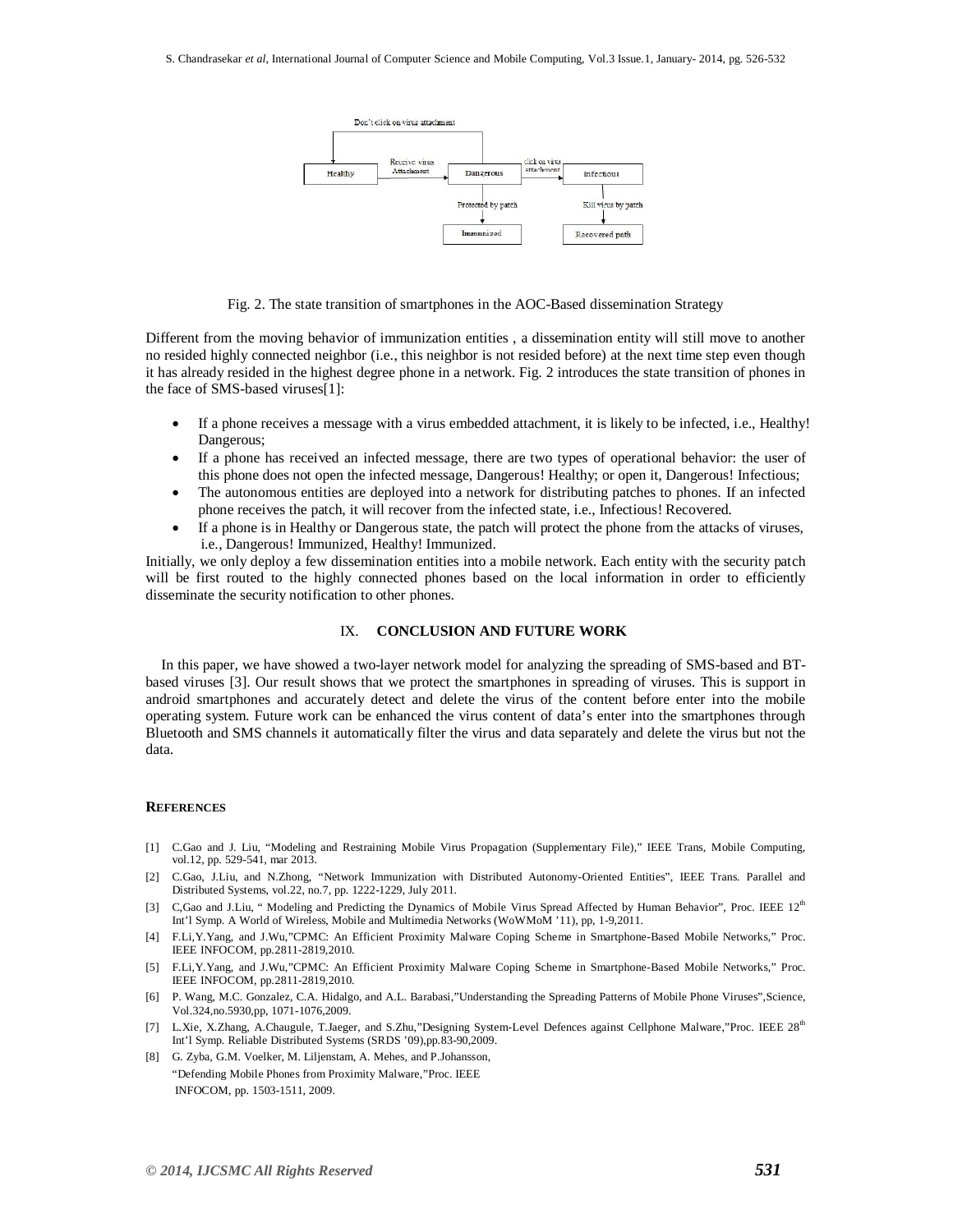

Fig. 2. The state transition of smartphones in the AOC-Based dissemination Strategy

Different from the moving behavior of immunization entities , a dissemination entity will still move to another no resided highly connected neighbor (i.e., this neighbor is not resided before) at the next time step even though it has already resided in the highest degree phone in a network. Fig. 2 introduces the state transition of phones in the face of SMS-based viruses[1]:

- If a phone receives a message with a virus embedded attachment, it is likely to be infected, i.e., Healthy! Dangerous;
- If a phone has received an infected message, there are two types of operational behavior: the user of this phone does not open the infected message, Dangerous! Healthy; or open it, Dangerous! Infectious;
- The autonomous entities are deployed into a network for distributing patches to phones. If an infected phone receives the patch, it will recover from the infected state, i.e., Infectious! Recovered.
- If a phone is in Healthy or Dangerous state, the patch will protect the phone from the attacks of viruses, i.e., Dangerous! Immunized, Healthy! Immunized.

Initially, we only deploy a few dissemination entities into a mobile network. Each entity with the security patch will be first routed to the highly connected phones based on the local information in order to efficiently disseminate the security notification to other phones.

#### IX. **CONCLUSION AND FUTURE WORK**

In this paper, we have showed a two-layer network model for analyzing the spreading of SMS-based and BTbased viruses [3]. Our result shows that we protect the smartphones in spreading of viruses. This is support in android smartphones and accurately detect and delete the virus of the content before enter into the mobile operating system. Future work can be enhanced the virus content of data's enter into the smartphones through Bluetooth and SMS channels it automatically filter the virus and data separately and delete the virus but not the data.

#### **REFERENCES**

- [1] C.Gao and J. Liu, "Modeling and Restraining Mobile Virus Propagation (Supplementary File)," IEEE Trans, Mobile Computing, vol.12, pp. 529-541, mar 2013.
- [2] C.Gao, J.Liu, and N.Zhong, "Network Immunization with Distributed Autonomy-Oriented Entities", IEEE Trans. Parallel and Distributed Systems, vol.22, no.7, pp. 1222-1229, July 2011.
- [3] C,Gao and J.Liu, " Modeling and Predicting the Dynamics of Mobile Virus Spread Affected by Human Behavior", Proc. IEEE 12<sup>th</sup> Int'l Symp. A World of Wireless, Mobile and Multimedia Networks (WoWMoM '11), pp, 1-9,2011.
- [4] F.Li,Y.Yang, and J.Wu,"CPMC: An Efficient Proximity Malware Coping Scheme in Smartphone-Based Mobile Networks," Proc. IEEE INFOCOM, pp.2811-2819,2010.
- [5] F.Li,Y.Yang, and J.Wu,"CPMC: An Efficient Proximity Malware Coping Scheme in Smartphone-Based Mobile Networks," Proc. IEEE INFOCOM, pp.2811-2819,2010.
- [6] P. Wang, M.C. Gonzalez, C.A. Hidalgo, and A.L. Barabasi,"Understanding the Spreading Patterns of Mobile Phone Viruses",Science, Vol.324,no.5930,pp, 1071-1076,2009.
- [7] L.Xie, X.Zhang, A.Chaugule, T.Jaeger, and S.Zhu,"Designing System-Level Defences against Cellphone Malware,"Proc. IEEE 28<sup>th</sup> Int'l Symp. Reliable Distributed Systems (SRDS '09),pp.83-90,2009.
- [8] G. Zyba, G.M. Voelker, M. Liljenstam, A. Mehes, and P.Johansson, "Defending Mobile Phones from Proximity Malware,"Proc. IEEE INFOCOM, pp. 1503-1511, 2009.